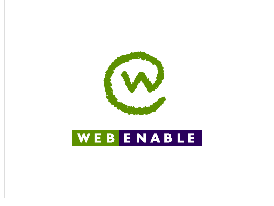

## WEBENABLE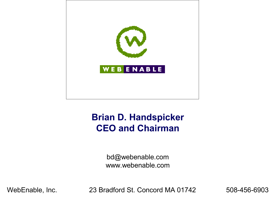

#### **Brian D. Handspicker CEO and Chairman**

bd@webenable.com www.webenable.com

WebEnable, Inc. 23 Bradford St. Concord MA 01742 508-456-6903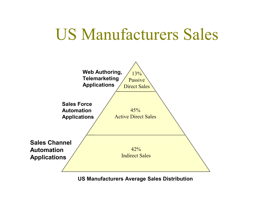## US Manufacturers Sales



**US Manufacturers Average Sales Distribution**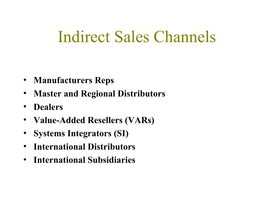## Indirect Sales Channels

- **Manufacturers Reps**
- **Master and Regional Distributors**
- **Dealers**
- **Value-Added Resellers (VARs)**
- **Systems Integrators (SI)**
- **International Distributors**
- **International Subsidiaries**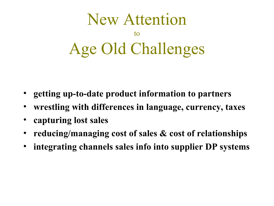

- **getting up-to-date product information to partners**
- **wrestling with differences in language, currency, taxes**
- **capturing lost sales**
- **reducing/managing cost of sales & cost of relationships**
- **integrating channels sales info into supplier DP systems**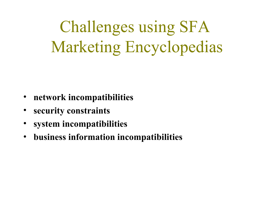Challenges using SFA Marketing Encyclopedias

- **network incompatibilities**
- **security constraints**
- **system incompatibilities**
- **business information incompatibilities**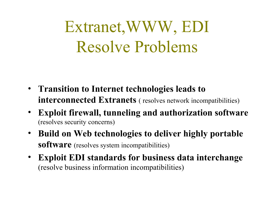# Extranet,WWW, EDI Resolve Problems

- **Transition to Internet technologies leads to interconnected Extranets** ( resolves network incompatibilities)
- **Exploit firewall, tunneling and authorization software** (resolves security concerns)
- **Build on Web technologies to deliver highly portable software** (resolves system incompatibilities)
- **Exploit EDI standards for business data interchange** (resolve business information incompatibilities)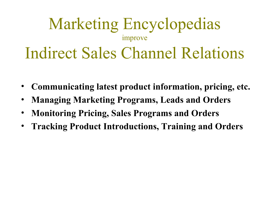### Marketing Encyclopedias improve Indirect Sales Channel Relations

- **Communicating latest product information, pricing, etc.**
- **Managing Marketing Programs, Leads and Orders**
- **Monitoring Pricing, Sales Programs and Orders**
- **Tracking Product Introductions, Training and Orders**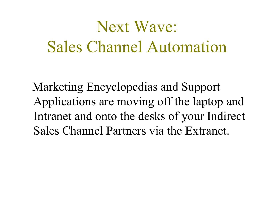# Next Wave: Sales Channel Automation

Marketing Encyclopedias and Support Applications are moving off the laptop and Intranet and onto the desks of your Indirect Sales Channel Partners via the Extranet.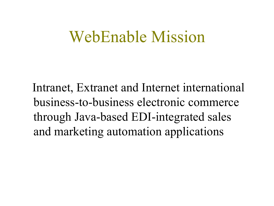### WebEnable Mission

Intranet, Extranet and Internet international business-to-business electronic commerce through Java-based EDI-integrated sales and marketing automation applications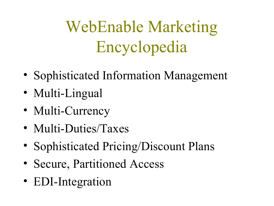WebEnable Marketing Encyclopedia

- Sophisticated Information Management
- Multi-Lingual
- Multi-Currency
- Multi-Duties/Taxes
- Sophisticated Pricing/Discount Plans
- Secure, Partitioned Access
- EDI-Integration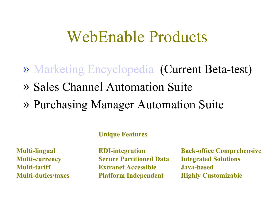#### WebEnable Products

- » Marketing [Encyclopedia](http://localhost/GouldShawmut/html/www_gouldshawmut_com.html) (Current Beta-test)
- » Sales Channel Automation Suite
- » Purchasing Manager Automation Suite

#### **Unique Features**

**Multi-currency Secure Partitioned Data Integrated Solutions Multi-tariff Extranet Accessible Java-based Multi-duties/taxes Platform Independent Highly Customizable**

**Multi-lingual EDI-integration Back-office Comprehensive**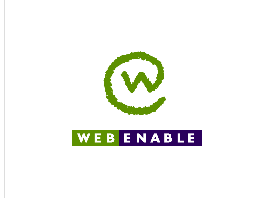

## WEBENABLE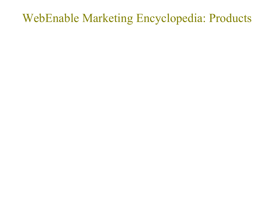#### WebEnable Marketing Encyclopedia: Products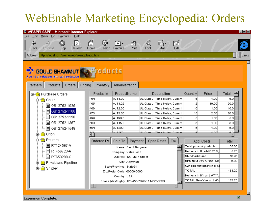#### WebEnable Marketing Encyclopedia: Orders